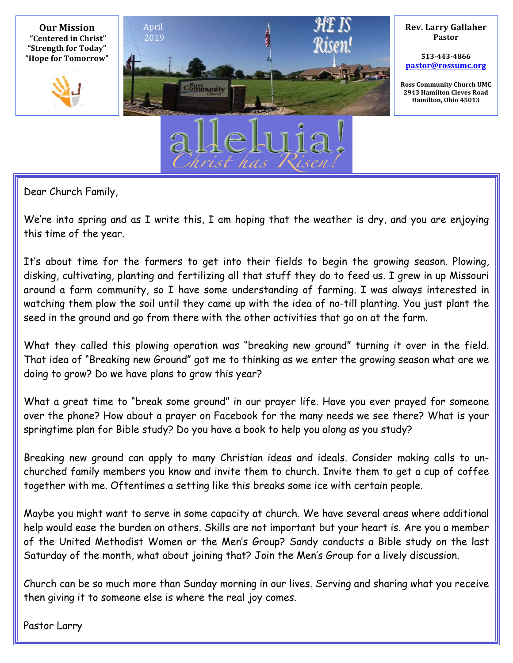

Dear Church Family,

We're into spring and as I write this, I am hoping that the weather is dry, and you are enjoying this time of the year.

It's about time for the farmers to get into their fields to begin the growing season. Plowing, disking, cultivating, planting and fertilizing all that stuff they do to feed us. I grew in up Missouri around a farm community, so I have some understanding of farming. I was always interested in watching them plow the soil until they came up with the idea of no-till planting. You just plant the seed in the ground and go from there with the other activities that go on at the farm.

What they called this plowing operation was "breaking new ground" turning it over in the field. That idea of "Breaking new Ground" got me to thinking as we enter the growing season what are we doing to grow? Do we have plans to grow this year?

What a great time to "break some ground" in our prayer life. Have you ever prayed for someone over the phone? How about a prayer on Facebook for the many needs we see there? What is your springtime plan for Bible study? Do you have a book to help you along as you study?

Breaking new ground can apply to many Christian ideas and ideals. Consider making calls to unchurched family members you know and invite them to church. Invite them to get a cup of coffee together with me. Oftentimes a setting like this breaks some ice with certain people.

Maybe you might want to serve in some capacity at church. We have several areas where additional help would ease the burden on others. Skills are not important but your heart is. Are you a member of the United Methodist Women or the Men's Group? Sandy conducts a Bible study on the last Saturday of the month, what about joining that? Join the Men's Group for a lively discussion.

Church can be so much more than Sunday morning in our lives. Serving and sharing what you receive then giving it to someone else is where the real joy comes.

Pastor Larry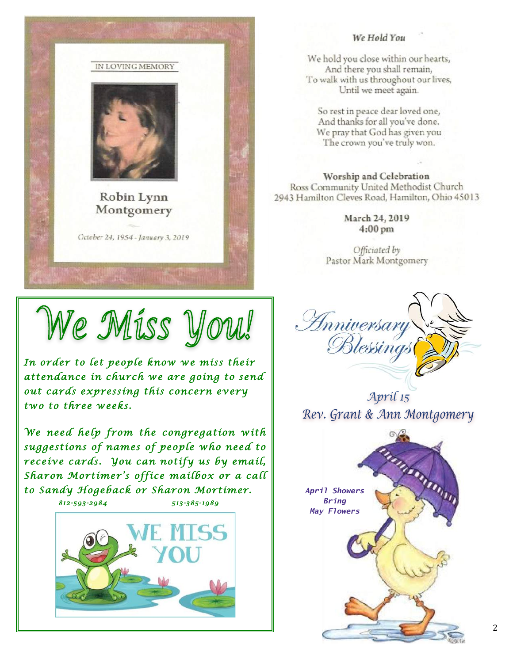

#### We Hold You

We hold you close within our hearts, And there you shall remain, To walk with us throughout our lives, Until we meet again.

So rest in peace dear loved one, And thanks for all you've done. We pray that God has given you The crown you've truly won.

Worship and Celebration Ross Community United Methodist Church 2943 Hamilton Cleves Road, Hamilton, Ohio 45013

> March 24, 2019  $4:00 \text{ pm}$

Officiated by Pastor Mark Montgomery

We Miss You!

*In order to let people know we miss their attendance in church we are going to send out cards expressing this concern every two to three weeks.* 

*We need help from the congregation with suggestions of names of people who need to receive cards. You can notify us by email, Sharon Mortimer's office mailbox or a call to Sandy Hogeback or Sharon Mortimer. 812-593-2984 513-385-1989* 





April 15 Rev. Grant & Ann Montgomery

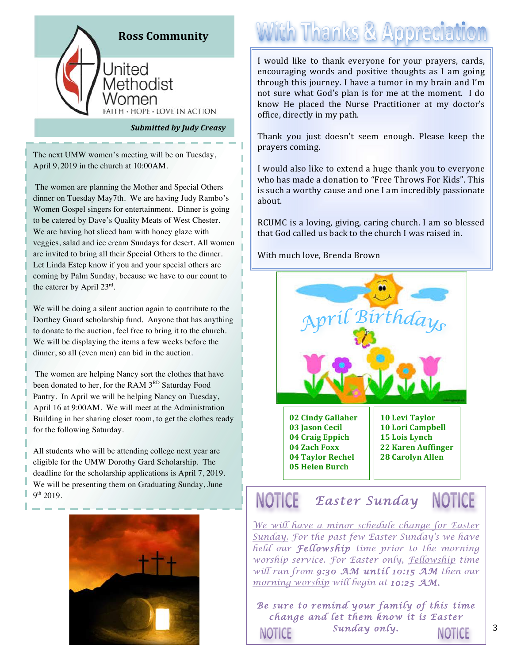

**Submitted by Judy Creasy** 

The next UMW women's meeting will be on Tuesday, April 9, 2019 in the church at 10:00AM.

The women are planning the Mother and Special Others dinner on Tuesday May7th. We are having Judy Rambo's Women Gospel singers for entertainment. Dinner is going to be catered by Dave's Quality Meats of West Chester. We are having hot sliced ham with honey glaze with veggies, salad and ice cream Sundays for desert. All women are invited to bring all their Special Others to the dinner. Let Linda Estep know if you and your special others are coming by Palm Sunday, because we have to our count to the caterer by April 23rd.

We will be doing a silent auction again to contribute to the Dorthey Guard scholarship fund. Anyone that has anything to donate to the auction, feel free to bring it to the church. We will be displaying the items a few weeks before the dinner, so all (even men) can bid in the auction.

The women are helping Nancy sort the clothes that have been donated to her, for the RAM 3RD Saturday Food Pantry. In April we will be helping Nancy on Tuesday, April 16 at 9:00AM. We will meet at the Administration Building in her sharing closet room, to get the clothes ready for the following Saturday.

All students who will be attending college next year are eligible for the UMW Dorothy Gard Scholarship. The deadline for the scholarship applications is April 7, 2019. We will be presenting them on Graduating Sunday, June 9th 2019.



## **With Thanks & Appreciation**

I would like to thank everyone for your prayers, cards, encouraging words and positive thoughts as I am going through this journey. I have a tumor in my brain and I'm not sure what God's plan is for me at the moment. I do know He placed the Nurse Practitioner at my doctor's office, directly in my path.

Thank you just doesn't seem enough. Please keep the prayers coming.

I would also like to extend a huge thank you to everyone who has made a donation to "Free Throws For Kids". This is such a worthy cause and one I am incredibly passionate about.

RCUMC is a loving, giving, caring church. I am so blessed that God called us back to the church I was raised in.

With much love, Brenda Brown



#### **NOTICE NOTICE** *Easter Sunday*

*We will have a minor schedule change for Easter Sunday. For the past few Easter Sunday's we have held our Fellowship time prior to the morning worship service. For Easter only, Fellowship time will run from 9:30 AM until 10:15 AM then our morning worship will begin at 10:25 AM.*

*Be sure to remind your family of this time change and let them know it is Easter Sunday only.* **NOTICE** NOTICE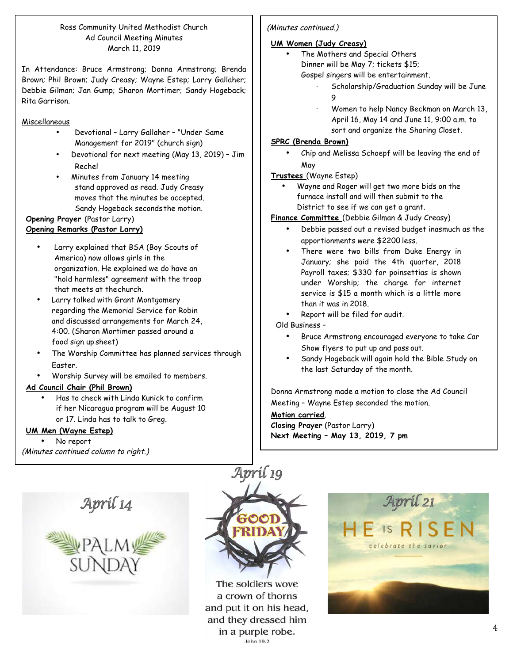#### Ross Community United Methodist Church Ad Council Meeting Minutes March 11, 2019

In Attendance: Bruce Armstrong; Donna Armstrong; Brenda Brown; Phil Brown; Judy Creasy; Wayne Estep; Larry Gallaher; Debbie Gilman; Jan Gump; Sharon Mortimer; Sandy Hogeback; Rita Garrison.

#### Miscellaneous

- Devotional Larry Gallaher "Under Same Management for 2019" (church sign)
- Devotional for next meeting (May 13, 2019) Jim Rechel
- Minutes from January 14 meeting stand approved as read. Judy Creasy moves that the minutes be accepted. Sandy Hogeback seconds the motion.

#### **Opening Prayer** (Pastor Larry) **Opening Remarks (Pastor Larry)**

- Larry explained that BSA (Boy Scouts of America) now allows girls in the organization. He explained we do have an "hold harmless" agreement with the troop that meets at thechurch.
- Larry talked with Grant Montgomery regarding the Memorial Service for Robin and discussed arrangements for March 24, 4:00. (Sharon Mortimer passed around a food sign up sheet)
- The Worship Committee has planned services through Easter.
- Worship Survey will be emailed to members.

#### **Ad Council Chair (Phil Brown)**

• Has to check with Linda Kunick to confirm if her Nicaragua program will be August 10 or 17. Linda has to talk to Greg.

#### **UM Men (Wayne Estep)**

• No report (Minutes continued column to right.)

# April 14



The soldiers wove a crown of thorns and put it on his head, and they dressed him in a purple robe. John 19.2

#### (Minutes continued.)

#### **UM Women (Judy Creasy)**

The Mothers and Special Others

Dinner will be May 7; tickets \$15; Gospel singers will be entertainment.

- Scholarship/Graduation Sunday will be June 9
- · Women to help Nancy Beckman on March 13, April 16, May 14 and June 11, 9:00 a.m. to sort and organize the Sharing Closet.

#### **SPRC (Brenda Brown)**

• Chip and Melissa Schoepf will be leaving the end of May

#### **Trustees** (Wayne Estep)

• Wayne and Roger will get two more bids on the furnace install and will then submit to the District to see if we can get a grant.

#### **Finance Committee** (Debbie Gilman & Judy Creasy)

- Debbie passed out a revised budget inasmuch as the apportionments were \$2200 less.
- There were two bills from Duke Energy in January; she paid the 4th quarter, 2018 Payroll taxes; \$330 for poinsettias is shown under Worship; the charge for internet service is \$15 a month which is a little more than it was in 2018.
- Report will be filed for audit.

#### Old Business –

- Bruce Armstrong encouraged everyone to take Car Show flyers to put up and pass out.
- Sandy Hogeback will again hold the Bible Study on the last Saturday of the month.

Donna Armstrong made a motion to close the Ad Council Meeting – Wayne Estep seconded the motion.

**Motion carried**. **Closing Prayer** (Pastor Larry) **Next Meeting – May 13, 2019, 7 pm**

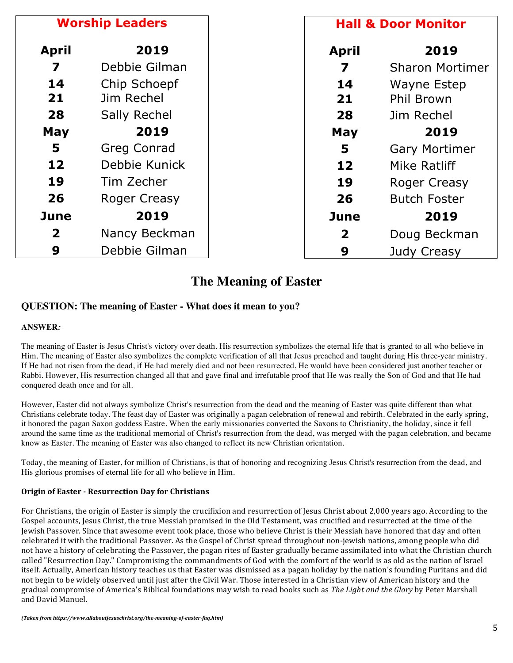| <b>Worship Leaders</b>  |                     |                | <b>Hall &amp; Door Monitor</b> |  |
|-------------------------|---------------------|----------------|--------------------------------|--|
| <b>April</b>            | 2019                | <b>April</b>   | 2019                           |  |
| 7                       | Debbie Gilman       | 7              | <b>Sharon Mortimer</b>         |  |
| 14                      | Chip Schoepf        | 14             | Wayne Estep                    |  |
| 21                      | Jim Rechel          | 21             | <b>Phil Brown</b>              |  |
| 28                      | <b>Sally Rechel</b> | 28             | Jim Rechel                     |  |
| May                     | 2019                | May            | 2019                           |  |
| 5                       | <b>Greg Conrad</b>  | 5              | <b>Gary Mortimer</b>           |  |
| 12                      | Debbie Kunick       | 12             | Mike Ratliff                   |  |
| 19                      | Tim Zecher          | 19             | Roger Creasy                   |  |
| 26                      | <b>Roger Creasy</b> | 26             | <b>Butch Foster</b>            |  |
| <b>June</b>             | 2019                | June           | 2019                           |  |
| $\overline{\mathbf{2}}$ | Nancy Beckman       | $\overline{2}$ | Doug Beckman                   |  |
| 9                       | Debbie Gilman       | 9              | Judy Creasy                    |  |

### **The Meaning of Easter**

#### **QUESTION: The meaning of Easter - What does it mean to you?**

#### **ANSWER***:*

The meaning of Easter is Jesus Christ's victory over death. His resurrection symbolizes the eternal life that is granted to all who believe in Him. The meaning of Easter also symbolizes the complete verification of all that Jesus preached and taught during His three-year ministry. If He had not risen from the dead, if He had merely died and not been resurrected, He would have been considered just another teacher or Rabbi. However, His resurrection changed all that and gave final and irrefutable proof that He was really the Son of God and that He had conquered death once and for all.

However, Easter did not always symbolize Christ's resurrection from the dead and the meaning of Easter was quite different than what Christians celebrate today. The feast day of Easter was originally a pagan celebration of renewal and rebirth. Celebrated in the early spring, it honored the pagan Saxon goddess Eastre. When the early missionaries converted the Saxons to Christianity, the holiday, since it fell around the same time as the traditional memorial of Christ's resurrection from the dead, was merged with the pagan celebration, and became know as Easter. The meaning of Easter was also changed to reflect its new Christian orientation.

Today, the meaning of Easter, for million of Christians, is that of honoring and recognizing Jesus Christ's resurrection from the dead, and His glorious promises of eternal life for all who believe in Him.

#### **Origin of Easter - Resurrection Day for Christians**

For Christians, the origin of Easter is simply the crucifixion and resurrection of Jesus Christ about 2,000 years ago. According to the Gospel accounts, Jesus Christ, the true Messiah promised in the Old Testament, was crucified and resurrected at the time of the Jewish Passover. Since that awesome event took place, those who believe Christ is their Messiah have honored that day and often celebrated it with the traditional Passover. As the Gospel of Christ spread throughout non-jewish nations, among people who did not have a history of celebrating the Passover, the pagan rites of Easter gradually became assimilated into what the Christian church called "Resurrection Day." Compromising the commandments of God with the comfort of the world is as old as the nation of Israel itself. Actually, American history teaches us that Easter was dismissed as a pagan holiday by the nation's founding Puritans and did not begin to be widely observed until just after the Civil War. Those interested in a Christian view of American history and the gradual compromise of America's Biblical foundations may wish to read books such as *The Light and the Glory* by Peter Marshall and David Manuel.